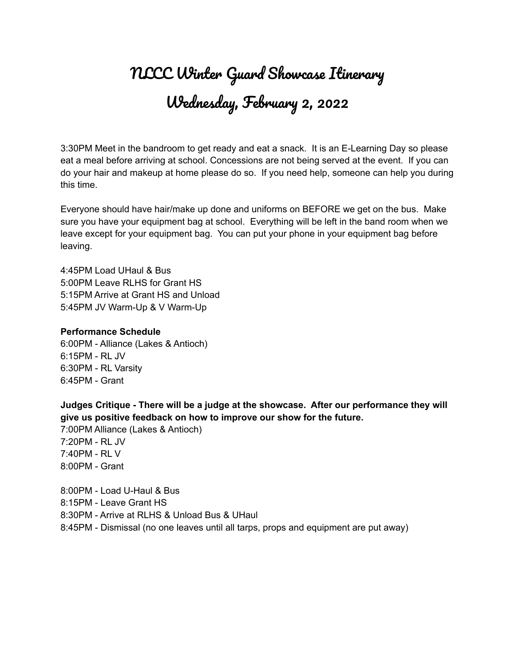# NLCC Winter Guard Showcase Itinerary Wednesday, February 2, 2022

3:30PM Meet in the bandroom to get ready and eat a snack. It is an E-Learning Day so please eat a meal before arriving at school. Concessions are not being served at the event. If you can do your hair and makeup at home please do so. If you need help, someone can help you during this time.

Everyone should have hair/make up done and uniforms on BEFORE we get on the bus. Make sure you have your equipment bag at school. Everything will be left in the band room when we leave except for your equipment bag. You can put your phone in your equipment bag before leaving.

4:45PM Load UHaul & Bus 5:00PM Leave RLHS for Grant HS 5:15PM Arrive at Grant HS and Unload 5:45PM JV Warm-Up & V Warm-Up

# **Performance Schedule**

6:00PM - Alliance (Lakes & Antioch) 6:15PM - RL JV 6:30PM - RL Varsity 6:45PM - Grant

**Judges Critique - There will be a judge at the showcase. After our performance they will give us positive feedback on how to improve our show for the future.**

7:00PM Alliance (Lakes & Antioch) 7:20PM - RL JV 7:40PM - RL V 8:00PM - Grant

8:00PM - Load U-Haul & Bus 8:15PM - Leave Grant HS 8:30PM - Arrive at RLHS & Unload Bus & UHaul 8:45PM - Dismissal (no one leaves until all tarps, props and equipment are put away)